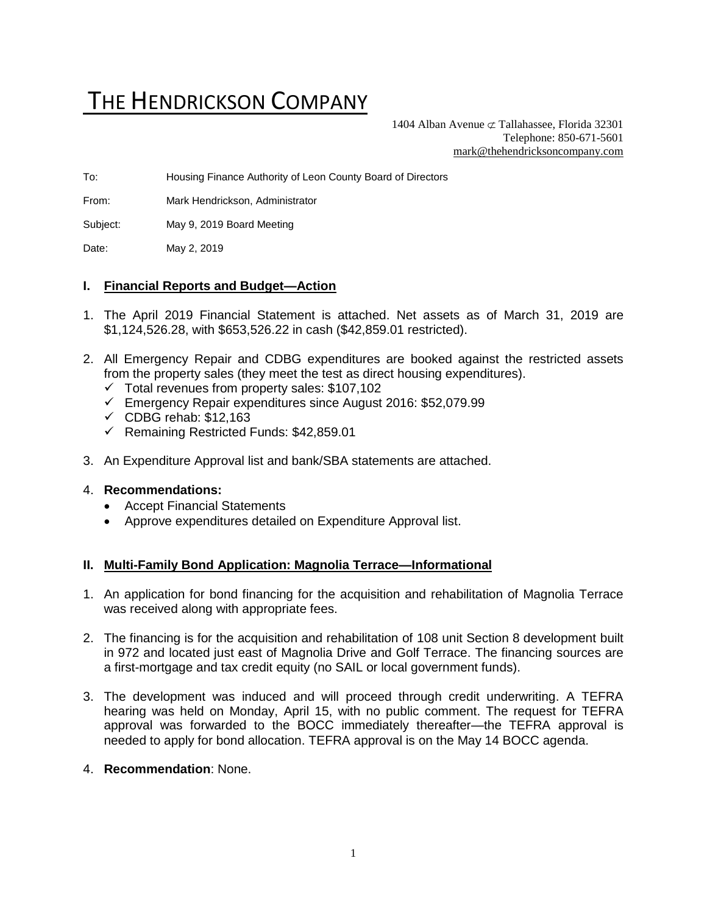# THE HENDRICKSON COMPANY

1404 Alban Avenue  $\sigma$  Tallahassee, Florida 32301 Telephone: 850-671-5601 [mark@thehendricksoncompany.com](mailto:mark@thehendricksoncompany.com)

To: Housing Finance Authority of Leon County Board of Directors

From: Mark Hendrickson, Administrator

Subject: May 9, 2019 Board Meeting

Date: May 2, 2019

#### **I. Financial Reports and Budget—Action**

- 1. The April 2019 Financial Statement is attached. Net assets as of March 31, 2019 are \$1,124,526.28, with \$653,526.22 in cash (\$42,859.01 restricted).
- 2. All Emergency Repair and CDBG expenditures are booked against the restricted assets from the property sales (they meet the test as direct housing expenditures).
	- $\checkmark$  Total revenues from property sales: \$107,102
	- ✓ Emergency Repair expenditures since August 2016: \$52,079.99
	- $\checkmark$  CDBG rehab: \$12,163
	- ✓ Remaining Restricted Funds: \$42,859.01
- 3. An Expenditure Approval list and bank/SBA statements are attached.

#### 4. **Recommendations:**

- Accept Financial Statements
- Approve expenditures detailed on Expenditure Approval list.

#### **II. Multi-Family Bond Application: Magnolia Terrace—Informational**

- 1. An application for bond financing for the acquisition and rehabilitation of Magnolia Terrace was received along with appropriate fees.
- 2. The financing is for the acquisition and rehabilitation of 108 unit Section 8 development built in 972 and located just east of Magnolia Drive and Golf Terrace. The financing sources are a first-mortgage and tax credit equity (no SAIL or local government funds).
- 3. The development was induced and will proceed through credit underwriting. A TEFRA hearing was held on Monday, April 15, with no public comment. The request for TEFRA approval was forwarded to the BOCC immediately thereafter—the TEFRA approval is needed to apply for bond allocation. TEFRA approval is on the May 14 BOCC agenda.
- 4. **Recommendation**: None.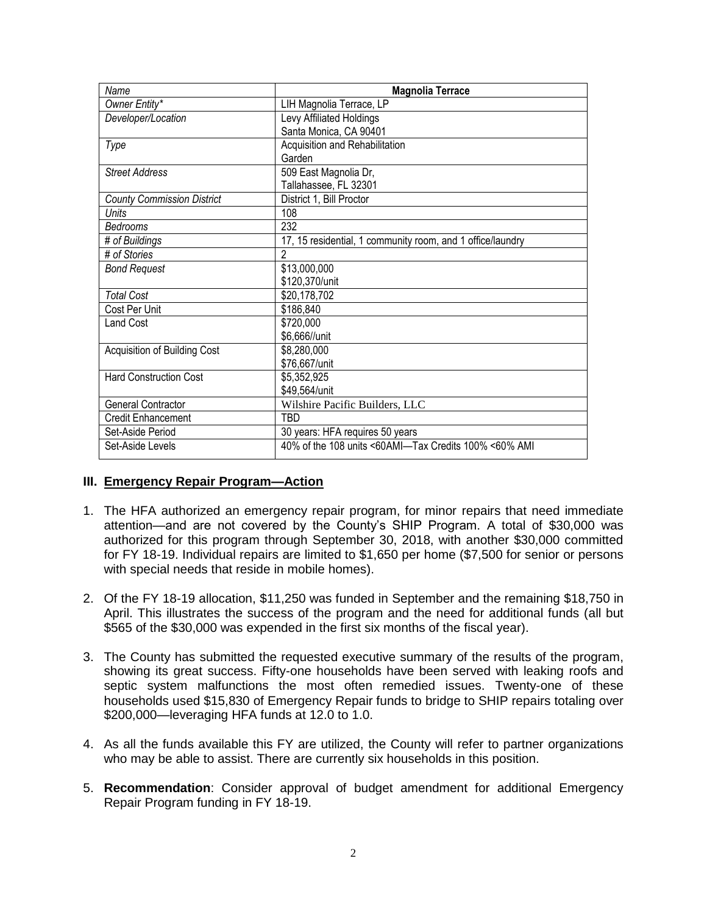| Name                              | <b>Magnolia Terrace</b>                                    |
|-----------------------------------|------------------------------------------------------------|
| Owner Entity*                     | LIH Magnolia Terrace, LP                                   |
| Developer/Location                | Levy Affiliated Holdings                                   |
|                                   | Santa Monica, CA 90401                                     |
| Type                              | Acquisition and Rehabilitation                             |
|                                   | Garden                                                     |
| <b>Street Address</b>             | 509 East Magnolia Dr,                                      |
|                                   | Tallahassee, FL 32301                                      |
| <b>County Commission District</b> | District 1, Bill Proctor                                   |
| Units                             | 108                                                        |
| Bedrooms                          | 232                                                        |
| # of Buildings                    | 17, 15 residential, 1 community room, and 1 office/laundry |
| # of Stories                      | 2                                                          |
| <b>Bond Request</b>               | \$13,000,000                                               |
|                                   | \$120,370/unit                                             |
| <b>Total Cost</b>                 | \$20,178,702                                               |
| Cost Per Unit                     | \$186,840                                                  |
| Land Cost                         | \$720,000                                                  |
|                                   | \$6,666//unit                                              |
| Acquisition of Building Cost      | \$8,280,000                                                |
|                                   | \$76,667/unit                                              |
| <b>Hard Construction Cost</b>     | \$5,352,925                                                |
|                                   | \$49,564/unit                                              |
| General Contractor                | Wilshire Pacific Builders, LLC                             |
| Credit Enhancement                | TBD                                                        |
| Set-Aside Period                  | 30 years: HFA requires 50 years                            |
| Set-Aside Levels                  | 40% of the 108 units <60AMI-Tax Credits 100% <60% AMI      |

#### **III. Emergency Repair Program—Action**

- 1. The HFA authorized an emergency repair program, for minor repairs that need immediate attention—and are not covered by the County's SHIP Program. A total of \$30,000 was authorized for this program through September 30, 2018, with another \$30,000 committed for FY 18-19. Individual repairs are limited to \$1,650 per home (\$7,500 for senior or persons with special needs that reside in mobile homes).
- 2. Of the FY 18-19 allocation, \$11,250 was funded in September and the remaining \$18,750 in April. This illustrates the success of the program and the need for additional funds (all but \$565 of the \$30,000 was expended in the first six months of the fiscal year).
- 3. The County has submitted the requested executive summary of the results of the program, showing its great success. Fifty-one households have been served with leaking roofs and septic system malfunctions the most often remedied issues. Twenty-one of these households used \$15,830 of Emergency Repair funds to bridge to SHIP repairs totaling over \$200,000—leveraging HFA funds at 12.0 to 1.0.
- 4. As all the funds available this FY are utilized, the County will refer to partner organizations who may be able to assist. There are currently six households in this position.
- 5. **Recommendation**: Consider approval of budget amendment for additional Emergency Repair Program funding in FY 18-19.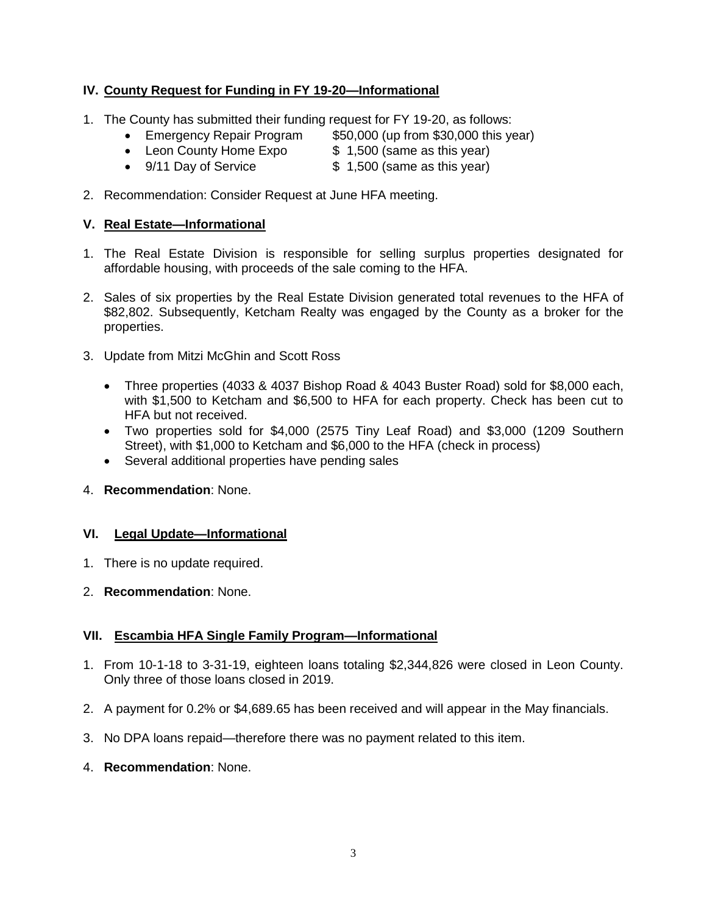## **IV. County Request for Funding in FY 19-20—Informational**

- 1. The County has submitted their funding request for FY 19-20, as follows:
	- Emergency Repair Program \$50,000 (up from \$30,000 this year)
		-
	- Enleagency Repair Program<br>• Leon County Home Expo \$ 1,500 (same as this year) • 9/11 Day of Service \$ 1,500 (same as this year)
- 2. Recommendation: Consider Request at June HFA meeting.

#### **V. Real Estate—Informational**

- 1. The Real Estate Division is responsible for selling surplus properties designated for affordable housing, with proceeds of the sale coming to the HFA.
- 2. Sales of six properties by the Real Estate Division generated total revenues to the HFA of \$82,802. Subsequently, Ketcham Realty was engaged by the County as a broker for the properties.
- 3. Update from Mitzi McGhin and Scott Ross
	- Three properties (4033 & 4037 Bishop Road & 4043 Buster Road) sold for \$8,000 each, with \$1,500 to Ketcham and \$6,500 to HFA for each property. Check has been cut to HFA but not received.
	- Two properties sold for \$4,000 (2575 Tiny Leaf Road) and \$3,000 (1209 Southern Street), with \$1,000 to Ketcham and \$6,000 to the HFA (check in process)
	- Several additional properties have pending sales
- 4. **Recommendation**: None.

#### **VI. Legal Update—Informational**

- 1. There is no update required.
- 2. **Recommendation**: None.

### **VII. Escambia HFA Single Family Program—Informational**

- 1. From 10-1-18 to 3-31-19, eighteen loans totaling \$2,344,826 were closed in Leon County. Only three of those loans closed in 2019.
- 2. A payment for 0.2% or \$4,689.65 has been received and will appear in the May financials.
- 3. No DPA loans repaid—therefore there was no payment related to this item.
- 4. **Recommendation**: None.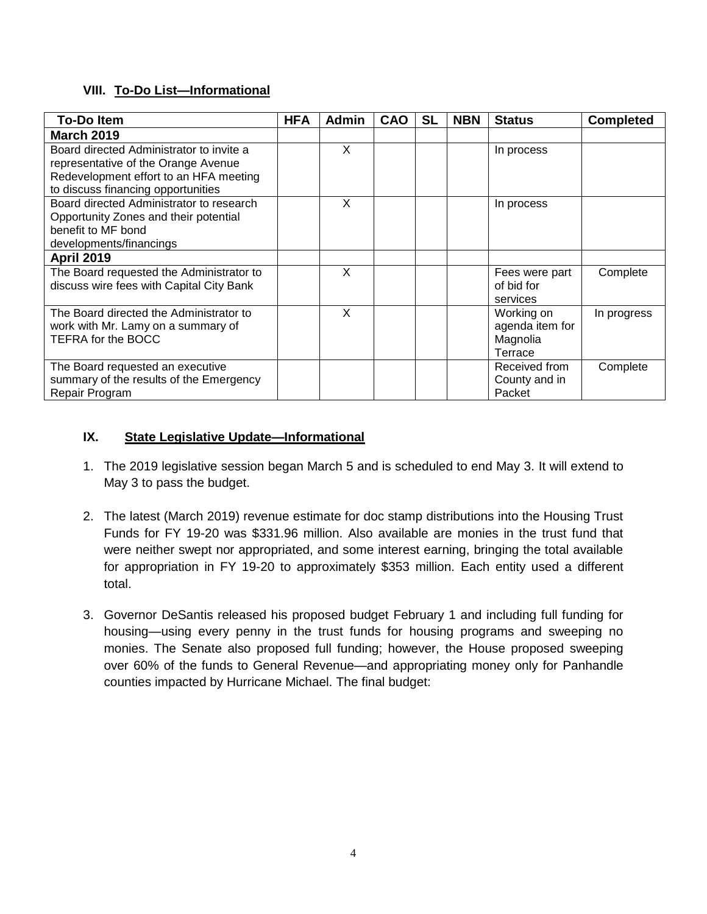## **VIII. To-Do List—Informational**

| <b>To-Do Item</b>                                                                                                                                                        | <b>HFA</b> | Admin | <b>CAO</b> | <b>SL</b> | <b>NBN</b> | <b>Status</b>                                        | <b>Completed</b> |
|--------------------------------------------------------------------------------------------------------------------------------------------------------------------------|------------|-------|------------|-----------|------------|------------------------------------------------------|------------------|
| <b>March 2019</b>                                                                                                                                                        |            |       |            |           |            |                                                      |                  |
| Board directed Administrator to invite a<br>representative of the Orange Avenue<br>Redevelopment effort to an HFA meeting                                                |            | X     |            |           |            | In process                                           |                  |
| to discuss financing opportunities<br>Board directed Administrator to research<br>Opportunity Zones and their potential<br>benefit to MF bond<br>developments/financings |            | X     |            |           |            | In process                                           |                  |
| <b>April 2019</b>                                                                                                                                                        |            |       |            |           |            |                                                      |                  |
| The Board requested the Administrator to<br>discuss wire fees with Capital City Bank                                                                                     |            | X     |            |           |            | Fees were part<br>of bid for<br>services             | Complete         |
| The Board directed the Administrator to<br>work with Mr. Lamy on a summary of<br>TEFRA for the BOCC                                                                      |            | X     |            |           |            | Working on<br>agenda item for<br>Magnolia<br>Terrace | In progress      |
| The Board requested an executive<br>summary of the results of the Emergency<br>Repair Program                                                                            |            |       |            |           |            | Received from<br>County and in<br>Packet             | Complete         |

## **IX. State Legislative Update—Informational**

- 1. The 2019 legislative session began March 5 and is scheduled to end May 3. It will extend to May 3 to pass the budget.
- 2. The latest (March 2019) revenue estimate for doc stamp distributions into the Housing Trust Funds for FY 19-20 was \$331.96 million. Also available are monies in the trust fund that were neither swept nor appropriated, and some interest earning, bringing the total available for appropriation in FY 19-20 to approximately \$353 million. Each entity used a different total.
- 3. Governor DeSantis released his proposed budget February 1 and including full funding for housing—using every penny in the trust funds for housing programs and sweeping no monies. The Senate also proposed full funding; however, the House proposed sweeping over 60% of the funds to General Revenue—and appropriating money only for Panhandle counties impacted by Hurricane Michael. The final budget: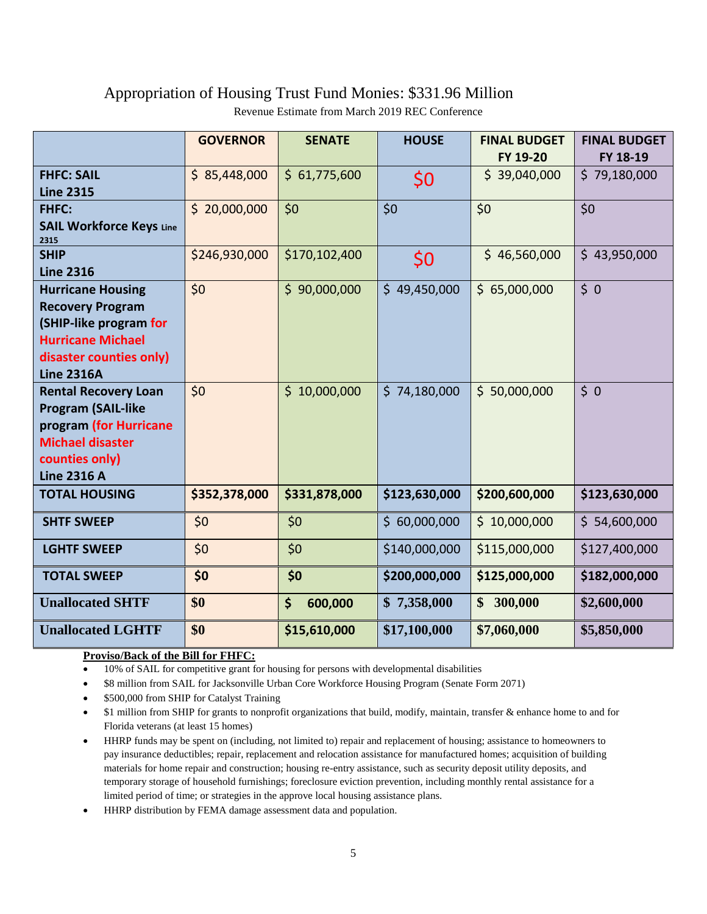## Appropriation of Housing Trust Fund Monies: \$331.96 Million

Revenue Estimate from March 2019 REC Conference

|                                                                                                                                                           | <b>GOVERNOR</b> | <b>SENATE</b> | <b>HOUSE</b>  | <b>FINAL BUDGET</b><br>FY 19-20 | <b>FINAL BUDGET</b><br>FY 18-19 |
|-----------------------------------------------------------------------------------------------------------------------------------------------------------|-----------------|---------------|---------------|---------------------------------|---------------------------------|
| <b>FHFC: SAIL</b><br><b>Line 2315</b>                                                                                                                     | \$85,448,000    | \$61,775,600  | \$0           | \$39,040,000                    | \$79,180,000                    |
| FHFC:<br><b>SAIL Workforce Keys Line</b><br>2315                                                                                                          | \$20,000,000    | \$0           | \$0           | \$0                             | \$0                             |
| <b>SHIP</b><br><b>Line 2316</b>                                                                                                                           | \$246,930,000   | \$170,102,400 | \$0           | \$46,560,000                    | \$43,950,000                    |
| <b>Hurricane Housing</b><br><b>Recovery Program</b><br>(SHIP-like program for<br><b>Hurricane Michael</b><br>disaster counties only)<br><b>Line 2316A</b> | \$0             | \$90,000,000  | \$49,450,000  | \$65,000,000                    | \$0                             |
| <b>Rental Recovery Loan</b><br><b>Program (SAIL-like</b><br>program (for Hurricane<br><b>Michael disaster</b><br>counties only)<br><b>Line 2316 A</b>     | \$0             | \$10,000,000  | \$74,180,000  | \$50,000,000                    | \$0                             |
| <b>TOTAL HOUSING</b>                                                                                                                                      | \$352,378,000   | \$331,878,000 | \$123,630,000 | \$200,600,000                   | \$123,630,000                   |
| <b>SHTF SWEEP</b>                                                                                                                                         | \$0             | \$0           | \$60,000,000  | \$10,000,000                    | \$54,600,000                    |
| <b>LGHTF SWEEP</b>                                                                                                                                        | \$0             | \$0           | \$140,000,000 | \$115,000,000                   | \$127,400,000                   |
| <b>TOTAL SWEEP</b>                                                                                                                                        | \$0             | \$0           | \$200,000,000 | \$125,000,000                   | \$182,000,000                   |
| <b>Unallocated SHTF</b>                                                                                                                                   | \$0             | \$<br>600,000 | \$7,358,000   | \$300,000                       | \$2,600,000                     |
| <b>Unallocated LGHTF</b>                                                                                                                                  | \$0             | \$15,610,000  | \$17,100,000  | \$7,060,000                     | \$5,850,000                     |

#### **Proviso/Back of the Bill for FHFC:**

- 10% of SAIL for competitive grant for housing for persons with developmental disabilities
- \$8 million from SAIL for Jacksonville Urban Core Workforce Housing Program (Senate Form 2071)
- \$500,000 from SHIP for Catalyst Training
- \$1 million from SHIP for grants to nonprofit organizations that build, modify, maintain, transfer & enhance home to and for Florida veterans (at least 15 homes)
- HHRP funds may be spent on (including, not limited to) repair and replacement of housing; assistance to homeowners to pay insurance deductibles; repair, replacement and relocation assistance for manufactured homes; acquisition of building materials for home repair and construction; housing re-entry assistance, such as security deposit utility deposits, and temporary storage of household furnishings; foreclosure eviction prevention, including monthly rental assistance for a limited period of time; or strategies in the approve local housing assistance plans.
- HHRP distribution by FEMA damage assessment data and population.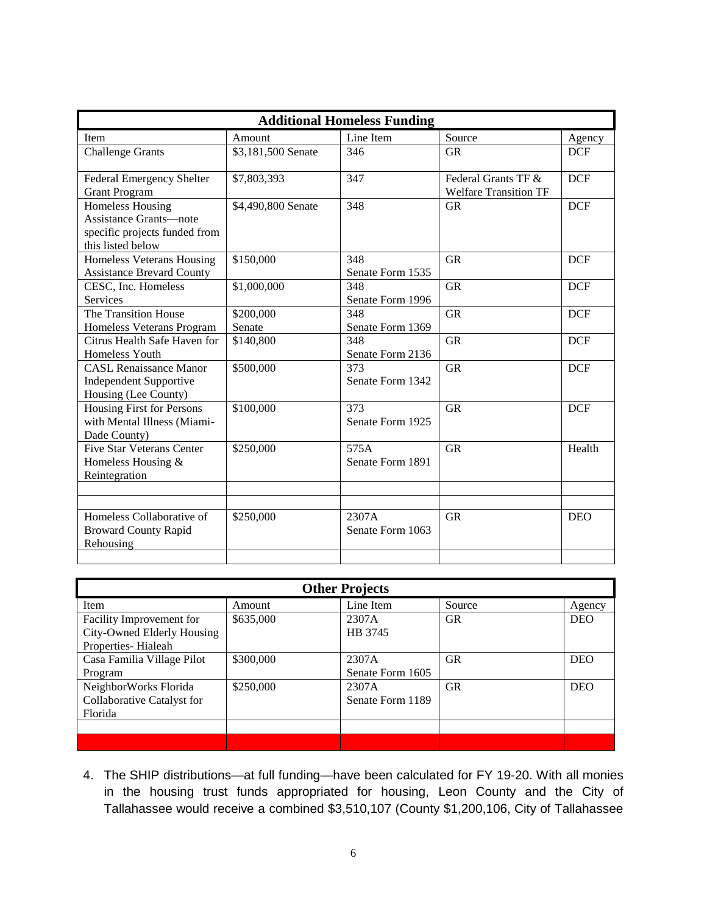| <b>Additional Homeless Funding</b>                                                                      |                     |                           |                                                     |            |  |  |
|---------------------------------------------------------------------------------------------------------|---------------------|---------------------------|-----------------------------------------------------|------------|--|--|
| Item                                                                                                    | Amount              | Line Item                 | Source                                              | Agency     |  |  |
| <b>Challenge Grants</b>                                                                                 | \$3,181,500 Senate  | 346                       | <b>GR</b>                                           | <b>DCF</b> |  |  |
| Federal Emergency Shelter<br><b>Grant Program</b>                                                       | \$7,803,393         | 347                       | Federal Grants TF &<br><b>Welfare Transition TF</b> | <b>DCF</b> |  |  |
| <b>Homeless Housing</b><br>Assistance Grants—note<br>specific projects funded from<br>this listed below | \$4,490,800 Senate  | 348                       | <b>GR</b>                                           | <b>DCF</b> |  |  |
| Homeless Veterans Housing<br><b>Assistance Brevard County</b>                                           | \$150,000           | 348<br>Senate Form 1535   | <b>GR</b>                                           | <b>DCF</b> |  |  |
| CESC, Inc. Homeless<br>Services                                                                         | \$1,000,000         | 348<br>Senate Form 1996   | <b>GR</b>                                           | <b>DCF</b> |  |  |
| The Transition House<br>Homeless Veterans Program                                                       | \$200,000<br>Senate | 348<br>Senate Form 1369   | <b>GR</b>                                           | <b>DCF</b> |  |  |
| Citrus Health Safe Haven for<br>Homeless Youth                                                          | \$140,800           | 348<br>Senate Form 2136   | <b>GR</b>                                           | <b>DCF</b> |  |  |
| <b>CASL Renaissance Manor</b><br><b>Independent Supportive</b><br>Housing (Lee County)                  | \$500,000           | 373<br>Senate Form 1342   | <b>GR</b>                                           | <b>DCF</b> |  |  |
| Housing First for Persons<br>with Mental Illness (Miami-<br>Dade County)                                | \$100,000           | 373<br>Senate Form 1925   | <b>GR</b>                                           | <b>DCF</b> |  |  |
| <b>Five Star Veterans Center</b><br>Homeless Housing &<br>Reintegration                                 | \$250,000           | 575A<br>Senate Form 1891  | <b>GR</b>                                           | Health     |  |  |
|                                                                                                         |                     |                           |                                                     |            |  |  |
| Homeless Collaborative of<br><b>Broward County Rapid</b><br>Rehousing                                   | \$250,000           | 2307A<br>Senate Form 1063 | <b>GR</b>                                           | <b>DEO</b> |  |  |
|                                                                                                         |                     |                           |                                                     |            |  |  |

| <b>Other Projects</b>      |           |                  |           |            |  |  |  |
|----------------------------|-----------|------------------|-----------|------------|--|--|--|
| Item                       | Amount    | Line Item        | Source    | Agency     |  |  |  |
| Facility Improvement for   | \$635,000 | 2307A            | <b>GR</b> | <b>DEO</b> |  |  |  |
| City-Owned Elderly Housing |           | HB 3745          |           |            |  |  |  |
| Properties-Hialeah         |           |                  |           |            |  |  |  |
| Casa Familia Village Pilot | \$300,000 | 2307A            | <b>GR</b> | <b>DEO</b> |  |  |  |
| Program                    |           | Senate Form 1605 |           |            |  |  |  |
| NeighborWorks Florida      | \$250,000 | 2307A            | <b>GR</b> | <b>DEO</b> |  |  |  |
| Collaborative Catalyst for |           | Senate Form 1189 |           |            |  |  |  |
| Florida                    |           |                  |           |            |  |  |  |
|                            |           |                  |           |            |  |  |  |
|                            |           |                  |           |            |  |  |  |

4. The SHIP distributions—at full funding—have been calculated for FY 19-20. With all monies in the housing trust funds appropriated for housing, Leon County and the City of Tallahassee would receive a combined \$3,510,107 (County \$1,200,106, City of Tallahassee